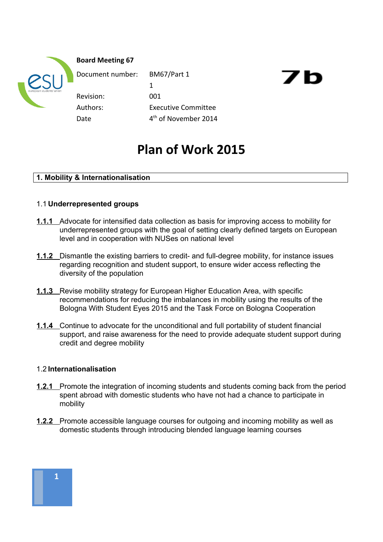

## **Board Meeting 67**

Revision: 001 Date

Document number: BM67/Part 1 1 Authors: Executive Committee <sup>th</sup> of November 2014

# $\mathbf r$  m

# **Plan of Work 2015**

### **1. Mobility & Internationalisation**

#### 1.1 **Underrepresented groups**

- **1.1.1** Advocate for intensified data collection as basis for improving access to mobility for underrepresented groups with the goal of setting clearly defined targets on European level and in cooperation with NUSes on national level
- **1.1.2** Dismantle the existing barriers to credit- and full-degree mobility, for instance issues regarding recognition and student support, to ensure wider access reflecting the diversity of the population
- **1.1.3** Revise mobility strategy for European Higher Education Area, with specific recommendations for reducing the imbalances in mobility using the results of the Bologna With Student Eyes 2015 and the Task Force on Bologna Cooperation
- **1.1.4** Continue to advocate for the unconditional and full portability of student financial support, and raise awareness for the need to provide adequate student support during credit and degree mobility

#### 1.2 **Internationalisation**

- **1.2.1** Promote the integration of incoming students and students coming back from the period spent abroad with domestic students who have not had a chance to participate in mobility
- **1.2.2** Promote accessible language courses for outgoing and incoming mobility as well as domestic students through introducing blended language learning courses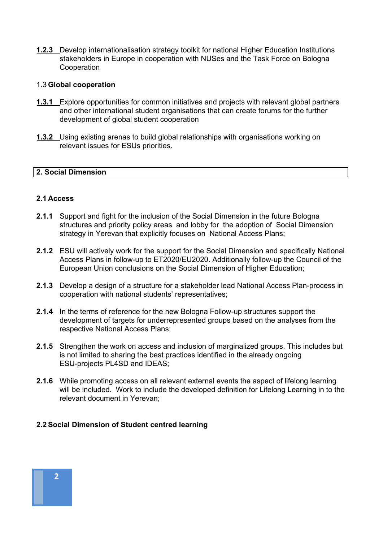**1.2.3** Develop internationalisation strategy toolkit for national Higher Education Institutions stakeholders in Europe in cooperation with NUSes and the Task Force on Bologna Cooperation

#### 1.3 **Global cooperation**

- **1.3.1** Explore opportunities for common initiatives and projects with relevant global partners and other international student organisations that can create forums for the further development of global student cooperation
- **1.3.2** Using existing arenas to build global relationships with organisations working on relevant issues for ESUs priorities.

#### **2. Social Dimension**

#### **2.1 Access**

- **2.1.1** Support and fight for the inclusion of the Social Dimension in the future Bologna structures and priority policy areas and lobby for the adoption of Social Dimension strategy in Yerevan that explicitly focuses on National Access Plans;
- **2.1.2** ESU will actively work for the support for the Social Dimension and specifically National Access Plans in follow-up to ET2020/EU2020. Additionally follow-up the Council of the European Union conclusions on the Social Dimension of Higher Education;
- **2.1.3** Develop a design of a structure for a stakeholder lead National Access Plan-process in cooperation with national students' representatives;
- **2.1.4** In the terms of reference for the new Bologna Follow-up structures support the development of targets for underrepresented groups based on the analyses from the respective National Access Plans;
- **2.1.5** Strengthen the work on access and inclusion of marginalized groups. This includes but is not limited to sharing the best practices identified in the already ongoing ESU-projects PL4SD and IDEAS;
- **2.1.6** While promoting access on all relevant external events the aspect of lifelong learning will be included. Work to include the developed definition for Lifelong Learning in to the relevant document in Yerevan;

#### **2.2 Social Dimension of Student centred learning**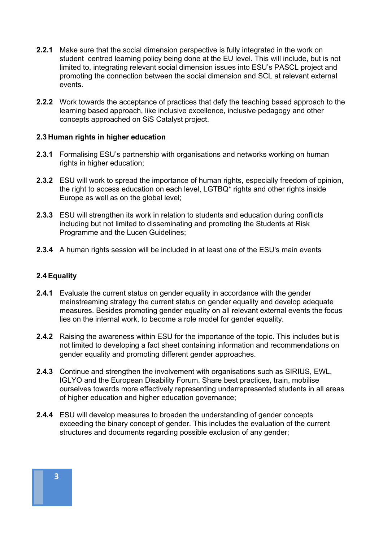- **2.2.1** Make sure that the social dimension perspective is fully integrated in the work on student centred learning policy being done at the EU level. This will include, but is not limited to, integrating relevant social dimension issues into ESU's PASCL project and promoting the connection between the social dimension and SCL at relevant external events.
- **2.2.2** Work towards the acceptance of practices that defy the teaching based approach to the learning based approach, like inclusive excellence, inclusive pedagogy and other concepts approached on SiS Catalyst project.

#### **2.3 Human rights in higher education**

- **2.3.1** Formalising ESU's partnership with organisations and networks working on human rights in higher education;
- **2.3.2** ESU will work to spread the importance of human rights, especially freedom of opinion, the right to access education on each level, LGTBQ\* rights and other rights inside Europe as well as on the global level;
- **2.3.3** ESU will strengthen its work in relation to students and education during conflicts including but not limited to disseminating and promoting the Students at Risk Programme and the Lucen Guidelines;
- **2.3.4** A human rights session will be included in at least one of the ESU's main events

#### **2.4 Equality**

- **2.4.1** Evaluate the current status on gender equality in accordance with the gender mainstreaming strategy the current status on gender equality and develop adequate measures. Besides promoting gender equality on all relevant external events the focus lies on the internal work, to become a role model for gender equality.
- **2.4.2** Raising the awareness within ESU for the importance of the topic. This includes but is not limited to developing a fact sheet containing information and recommendations on gender equality and promoting different gender approaches.
- **2.4.3** Continue and strengthen the involvement with organisations such as SIRIUS, EWL, IGLYO and the European Disability Forum. Share best practices, train, mobilise ourselves towards more effectively representing underrepresented students in all areas of higher education and higher education governance;
- **2.4.4** ESU will develop measures to broaden the understanding of gender concepts exceeding the binary concept of gender. This includes the evaluation of the current structures and documents regarding possible exclusion of any gender;

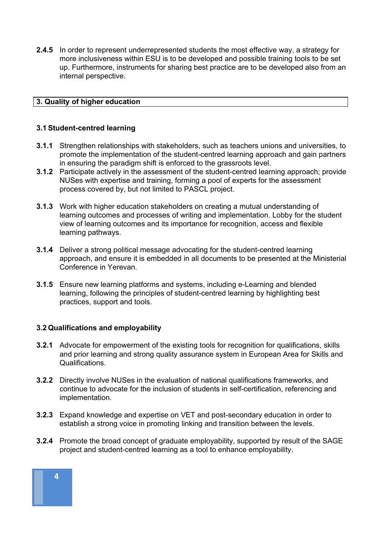**2.4.5** In order to represent underrepresented students the most effective way, a strategy for more inclusiveness within ESU is to be developed and possible training tools to be set up. Furthermore, instruments for sharing best practice are to be developed also from an internal perspective.

#### **3. Quality of higher education**

#### **3.1 Student-centred learning**

- **3.1.1** Strengthen relationships with stakeholders, such as teachers unions and universities, to promote the implementation of the student-centred learning approach and gain partners in ensuring the paradigm shift is enforced to the grassroots level.
- **3.1.2** Participate actively in the assessment of the student-centred learning approach; provide NUSes with expertise and training, forming a pool of experts for the assessment process covered by, but not limited to PASCL project.
- **3.1.3** Work with higher education stakeholders on creating a mutual understanding of learning outcomes and processes of writing and implementation. Lobby for the student view of learning outcomes and its importance for recognition, access and flexible learning pathways.
- **3.1.4** Deliver a strong political message advocating for the student-centred learning approach, and ensure it is embedded in all documents to be presented at the Ministerial Conference in Yerevan.
- **3.1.5** Ensure new learning platforms and systems, including e-Learning and blended learning, following the principles of student-centred learning by highlighting best practices, support and tools.

#### **3.2 Qualifications and employability**

- **3.2.1** Advocate for empowerment of the existing tools for recognition for qualifications, skills and prior learning and strong quality assurance system in European Area for Skills and Qualifications.
- **3.2.2** Directly involve NUSes in the evaluation of national qualifications frameworks, and continue to advocate for the inclusion of students in self-certification, referencing and implementation.
- **3.2.3** Expand knowledge and expertise on VET and post-secondary education in order to establish a strong voice in promoting linking and transition between the levels.
- **3.2.4** Promote the broad concept of graduate employability, supported by result of the SAGE project and student-centred learning as a tool to enhance employability.

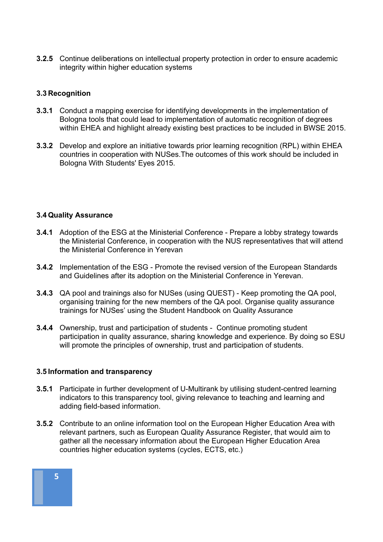**3.2.5** Continue deliberations on intellectual property protection in order to ensure academic integrity within higher education systems

#### **3.3 Recognition**

- **3.3.1** Conduct a mapping exercise for identifying developments in the implementation of Bologna tools that could lead to implementation of automatic recognition of degrees within EHEA and highlight already existing best practices to be included in BWSE 2015.
- **3.3.2** Develop and explore an initiative towards prior learning recognition (RPL) within EHEA countries in cooperation with NUSes.The outcomes of this work should be included in Bologna With Students' Eyes 2015.

#### **3.4 Quality Assurance**

- **3.4.1** Adoption of the ESG at the Ministerial Conference Prepare a lobby strategy towards the Ministerial Conference, in cooperation with the NUS representatives that will attend the Ministerial Conference in Yerevan
- **3.4.2** Implementation of the ESG Promote the revised version of the European Standards and Guidelines after its adoption on the Ministerial Conference in Yerevan.
- **3.4.3** QA pool and trainings also for NUSes (using QUEST) Keep promoting the QA pool, organising training for the new members of the QA pool. Organise quality assurance trainings for NUSes' using the Student Handbook on Quality Assurance
- **3.4.4** Ownership, trust and participation of students Continue promoting student participation in quality assurance, sharing knowledge and experience. By doing so ESU will promote the principles of ownership, trust and participation of students.

#### **3.5 Information and transparency**

- **3.5.1** Participate in further development of U-Multirank by utilising student-centred learning indicators to this transparency tool, giving relevance to teaching and learning and adding field-based information.
- **3.5.2** Contribute to an online information tool on the European Higher Education Area with relevant partners, such as European Quality Assurance Register, that would aim to gather all the necessary information about the European Higher Education Area countries higher education systems (cycles, ECTS, etc.)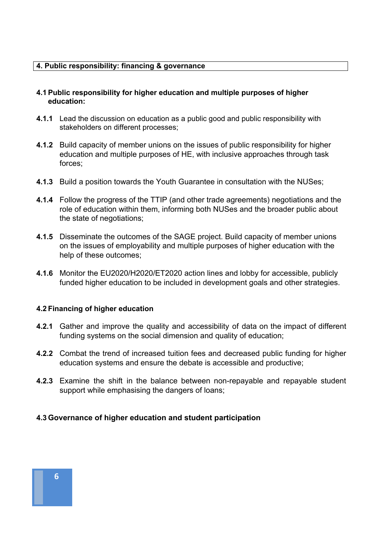#### **4. Public responsibility: financing & governance**

#### **4.1 Public responsibility for higher education and multiple purposes of higher education:**

- **4.1.1** Lead the discussion on education as a public good and public responsibility with stakeholders on different processes;
- **4.1.2** Build capacity of member unions on the issues of public responsibility for higher education and multiple purposes of HE, with inclusive approaches through task forces;
- **4.1.3** Build a position towards the Youth Guarantee in consultation with the NUSes;
- **4.1.4** Follow the progress of the TTIP (and other trade agreements) negotiations and the role of education within them, informing both NUSes and the broader public about the state of negotiations;
- **4.1.5** Disseminate the outcomes of the SAGE project. Build capacity of member unions on the issues of employability and multiple purposes of higher education with the help of these outcomes;
- **4.1.6** Monitor the EU2020/H2020/ET2020 action lines and lobby for accessible, publicly funded higher education to be included in development goals and other strategies.

#### **4.2 Financing of higher education**

- **4.2.1** Gather and improve the quality and accessibility of data on the impact of different funding systems on the social dimension and quality of education;
- **4.2.2** Combat the trend of increased tuition fees and decreased public funding for higher education systems and ensure the debate is accessible and productive;
- **4.2.3** Examine the shift in the balance between non-repayable and repayable student support while emphasising the dangers of loans;

#### **4.3 Governance of higher education and student participation**